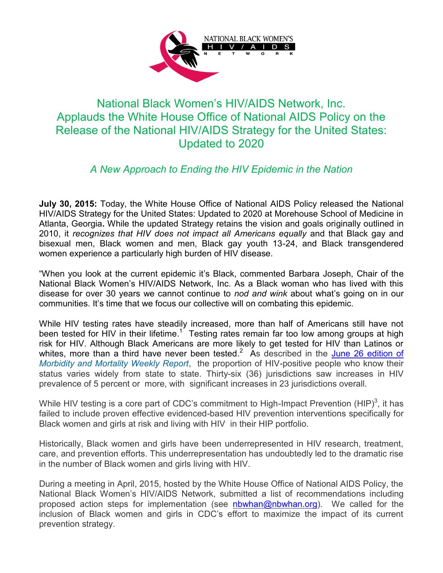

## National Black Women's HIV/AIDS Network, Inc. Applauds the White House Office of National AIDS Policy on the Release of the National HIV/AIDS Strategy for the United States: Updated to 2020

## *A New Approach to Ending the HIV Epidemic in the Nation*

**July 30, 2015:** Today, the White House Office of National AIDS Policy released the National HIV/AIDS Strategy for the United States: Updated to 2020 at Morehouse School of Medicine in Atlanta, Georgia**.** While the updated Strategy retains the vision and goals originally outlined in 2010, it *recognizes that HIV does not impact all Americans equally* and that Black gay and bisexual men, Black women and men, Black gay youth 13-24, and Black transgendered women experience a particularly high burden of HIV disease.

"When you look at the current epidemic it's Black, commented Barbara Joseph, Chair of the National Black Women's HIV/AIDS Network, Inc. As a Black woman who has lived with this disease for over 30 years we cannot continue to *nod and wink* about what's going on in our communities. It's time that we focus our collective will on combating this epidemic.

While HIV testing rates have steadily increased, more than half of Americans still have not been tested for HIV in their lifetime.<sup>1</sup> Testing rates remain far too low among groups at high risk for HIV. Although Black Americans are more likely to get tested for HIV than Latinos or whites, more than a third have never been tested.<sup>2</sup> As described in the **June 26 edition of** *[Morbidity and Mortality Weekly Report](http://www.cdc.gov/mmwr/preview/mmwrhtml/mm6424a2.htm)*, the proportion of HIV-positive people who know their status varies widely from state to state. Thirty-six (36) jurisdictions saw increases in HIV prevalence of 5 percent or more, with significant increases in 23 jurisdictions overall.

While HIV testing is a core part of CDC's commitment to High-Impact Prevention (HIP)<sup>3</sup>, it has failed to include proven effective evidenced-based HIV prevention interventions specifically for Black women and girls at risk and living with HIV in their HIP portfolio.

Historically, Black women and girls have been underrepresented in HIV research, treatment, care, and prevention efforts. This underrepresentation has undoubtedly led to the dramatic rise in the number of Black women and girls living with HIV.

During a meeting in April, 2015, hosted by the White House Office of National AIDS Policy, the National Black Women's HIV/AIDS Network, submitted a list of recommendations including proposed action steps for implementation (see [nbwhan@nbwhan.org\)](mailto:nbwhan@nbwhan.org). We called for the inclusion of Black women and girls in CDC's effort to maximize the impact of its current prevention strategy.